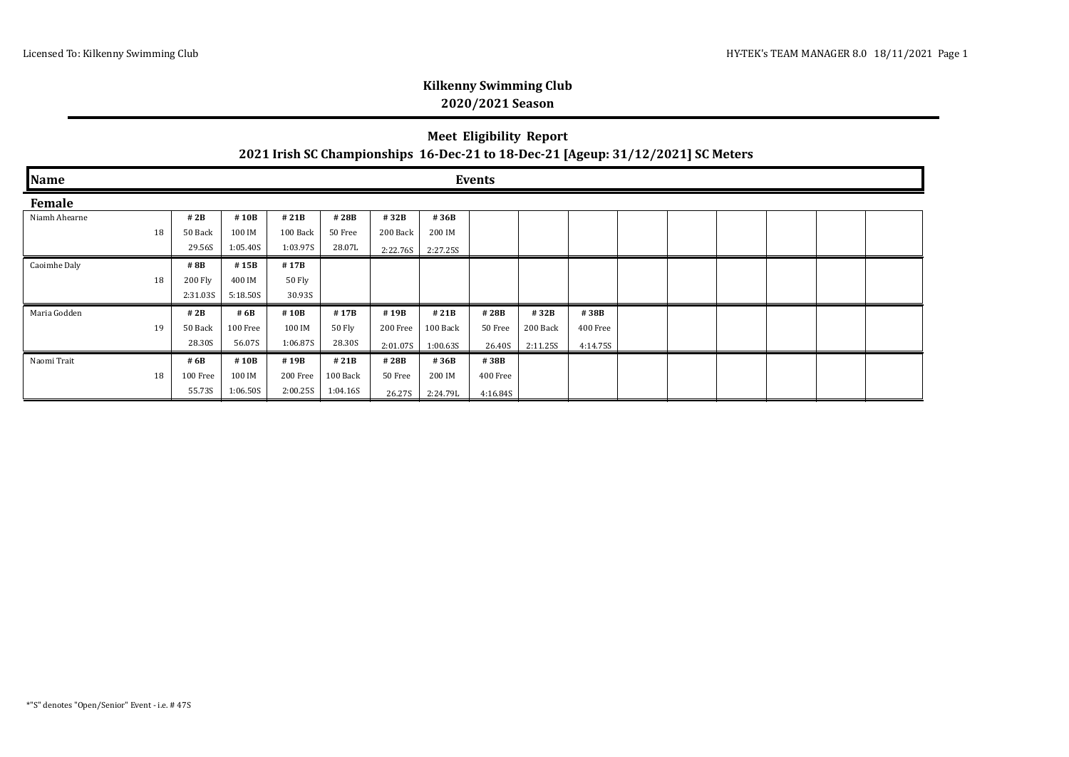## **Kilkenny Swimming Club 2020/2021 Season**

## **Meet Eligibility Report 2021 Irish SC Championships 16-Dec-21 to 18-Dec-21 [Ageup: 31/12/2021] SC Meters**

| Name          |    | Events   |          |          |          |          |          |          |          |          |  |  |  |  |  |  |
|---------------|----|----------|----------|----------|----------|----------|----------|----------|----------|----------|--|--|--|--|--|--|
| Female        |    |          |          |          |          |          |          |          |          |          |  |  |  |  |  |  |
| Niamh Ahearne |    | # $2B$   | #10B     | #21B     | #28B     | #32B     | #36B     |          |          |          |  |  |  |  |  |  |
|               | 18 | 50 Back  | 100 IM   | 100 Back | 50 Free  | 200 Back | 200 IM   |          |          |          |  |  |  |  |  |  |
|               |    | 29.56S   | 1:05.40S | 1:03.97S | 28.07L   | 2:22.76S | 2:27.25S |          |          |          |  |  |  |  |  |  |
| Caoimhe Daly  |    | # 8B     | #15B     | #17B     |          |          |          |          |          |          |  |  |  |  |  |  |
|               | 18 | 200 Fly  | 400 IM   | 50 Fly   |          |          |          |          |          |          |  |  |  |  |  |  |
|               |    | 2:31.03S | 5:18.50S | 30.93S   |          |          |          |          |          |          |  |  |  |  |  |  |
| Maria Godden  |    | # 2B     | # 6B     | #10B     | #17B     | #19B     | #21B     | #28B     | #32B     | #38B     |  |  |  |  |  |  |
|               | 19 | 50 Back  | 100 Free | 100 IM   | 50 Fly   | 200 Free | 100 Back | 50 Free  | 200 Back | 400 Free |  |  |  |  |  |  |
|               |    | 28.30S   | 56.07S   | 1:06.87S | 28.30S   | 2:01.07S | 1:00.63S | 26.40S   | 2:11.25S | 4:14.75S |  |  |  |  |  |  |
| Naomi Trait   |    | # 6B     | #10B     | #19B     | #21B     | #28B     | #36B     | #38B     |          |          |  |  |  |  |  |  |
|               | 18 | 100 Free | 100 IM   | 200 Free | 100 Back | 50 Free  | 200 IM   | 400 Free |          |          |  |  |  |  |  |  |
|               |    | 55.73S   | 1:06.50S | 2:00.25S | 1:04.16S | 26.27S   | 2:24.79L | 4:16.84S |          |          |  |  |  |  |  |  |